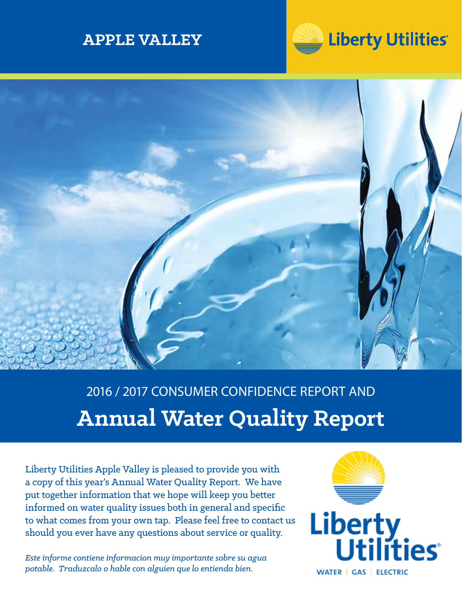# **APPLE VALLEY**





# 2016 / 2017 CONSUMER CONFIDENCE REPORT AND **Annual Water Quality Report**

Liberty Utilities Apple Valley is pleased to provide you with a copy of this year's Annual Water Quality Report. We have put together information that we hope will keep you better informed on water quality issues both in general and specific to what comes from your own tap. Please feel free to contact us should you ever have any questions about service or quality.

*Este informe contiene informacion muy importante sobre su agua potable. Traduzcalo o hable con alguien que lo entienda bien.*

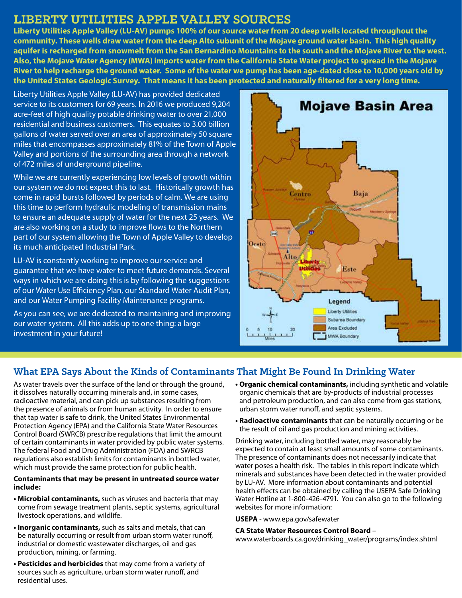# **LIBERTY UTILITIES APPLE VALLEY SOURCES**

**Liberty Utilities Apple Valley (LU-AV) pumps 100% of our source water from 20 deep wells located throughout the community. These wells draw water from the deep Alto subunit of the Mojave ground water basin. This high quality aquifer is recharged from snowmelt from the San Bernardino Mountains to the south and the Mojave River to the west. Also, the Mojave Water Agency (MWA) imports water from the California State Water project to spread in the Mojave River to help recharge the ground water. Some of the water we pump has been age-dated close to 10,000 years old by the United States Geologic Survey. That means it has been protected and naturally filtered for a very long time.**

Liberty Utilities Apple Valley (LU-AV) has provided dedicated service to its customers for 69 years. In 2016 we produced 9,204 acre-feet of high quality potable drinking water to over 21,000 residential and business customers. This equates to 3.00 billion gallons of water served over an area of approximately 50 square miles that encompasses approximately 81% of the Town of Apple Valley and portions of the surrounding area through a network of 472 miles of underground pipeline.

While we are currently experiencing low levels of growth within our system we do not expect this to last. Historically growth has come in rapid bursts followed by periods of calm. We are using this time to perform hydraulic modeling of transmission mains to ensure an adequate supply of water for the next 25 years. We are also working on a study to improve flows to the Northern part of our system allowing the Town of Apple Valley to develop its much anticipated Industrial Park.

LU-AV is constantly working to improve our service and guarantee that we have water to meet future demands. Several ways in which we are doing this is by following the suggestions of our Water Use Efficiency Plan, our Standard Water Audit Plan, and our Water Pumping Facility Maintenance programs.

As you can see, we are dedicated to maintaining and improving our water system. All this adds up to one thing: a large investment in your future!



## **What EPA Says About the Kinds of Contaminants That Might Be Found In Drinking Water**

As water travels over the surface of the land or through the ground, it dissolves naturally occurring minerals and, in some cases, radioactive material, and can pick up substances resulting from the presence of animals or from human activity. In order to ensure that tap water is safe to drink, the United States Environmental Protection Agency (EPA) and the California State Water Resources Control Board (SWRCB) prescribe regulations that limit the amount of certain contaminants in water provided by public water systems. The federal Food and Drug Administration (FDA) and SWRCB regulations also establish limits for contaminants in bottled water, which must provide the same protection for public health.

#### **Contaminants that may be present in untreated source water include:**

- **Microbial contaminants,** such as viruses and bacteria that may come from sewage treatment plants, septic systems, agricultural livestock operations, and wildlife.
- **Inorganic contaminants,** such as salts and metals, that can be naturally occurring or result from urban storm water runoff, industrial or domestic wastewater discharges, oil and gas production, mining, or farming.
- **Pesticides and herbicides** that may come from a variety of sources such as agriculture, urban storm water runoff, and residential uses.
- **Organic chemical contaminants,** including synthetic and volatile organic chemicals that are by-products of industrial processes and petroleum production, and can also come from gas stations, urban storm water runoff, and septic systems.
- **Radioactive contaminants** that can be naturally occurring or be the result of oil and gas production and mining activities.

Drinking water, including bottled water, may reasonably be expected to contain at least small amounts of some contaminants. The presence of contaminants does not necessarily indicate that water poses a health risk. The tables in this report indicate which minerals and substances have been detected in the water provided by LU-AV. More information about contaminants and potential health effects can be obtained by calling the USEPA Safe Drinking Water Hotline at 1-800-426-4791. You can also go to the following websites for more information:

**USEPA** - www.epa.gov/safewater

#### **CA State Water Resources Control Board** –

www.waterboards.ca.gov/drinking\_water/programs/index.shtml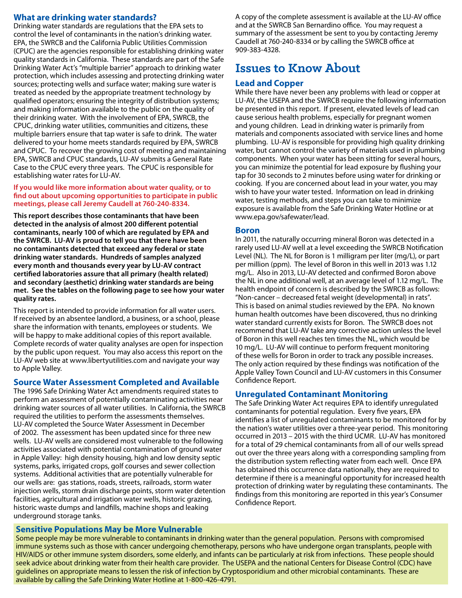## **What are drinking water standards?**

Drinking water standards are regulations that the EPA sets to control the level of contaminants in the nation's drinking water. EPA, the SWRCB and the California Public Utilities Commission (CPUC) are the agencies responsible for establishing drinking water quality standards in California. These standards are part of the Safe Drinking Water Act's "multiple barrier" approach to drinking water protection, which includes assessing and protecting drinking water sources; protecting wells and surface water; making sure water is treated as needed by the appropriate treatment technology by qualified operators; ensuring the integrity of distribution systems; and making information available to the public on the quality of their drinking water. With the involvement of EPA, SWRCB, the CPUC, drinking water utilities, communities and citizens, these multiple barriers ensure that tap water is safe to drink. The water delivered to your home meets standards required by EPA, SWRCB and CPUC. To recover the growing cost of meeting and maintaining EPA, SWRCB and CPUC standards, LU-AV submits a General Rate Case to the CPUC every three years. The CPUC is responsible for establishing water rates for LU-AV.

#### **If you would like more information about water quality, or to find out about upcoming opportunities to participate in public meetings, please call Jeremy Caudell at 760-240-8334.**

**This report describes those contaminants that have been detected in the analysis of almost 200 different potential contaminants, nearly 100 of which are regulated by EPA and the SWRCB. LU-AV is proud to tell you that there have been no contaminants detected that exceed any federal or state drinking water standards. Hundreds of samples analyzed every month and thousands every year by LU-AV contract certified laboratories assure that all primary (health related) and secondary (aesthetic) drinking water standards are being met. See the tables on the following page to see how your water quality rates.**

This report is intended to provide information for all water users. If received by an absentee landlord, a business, or a school, please share the information with tenants, employees or students. We will be happy to make additional copies of this report available. Complete records of water quality analyses are open for inspection by the public upon request. You may also access this report on the LU-AV web site at www.libertyutilities.com and navigate your way to Apple Valley.

### **Source Water Assessment Completed and Available**

The 1996 Safe Drinking Water Act amendments required states to perform an assessment of potentially contaminating activities near drinking water sources of all water utilities. In California, the SWRCB required the utilities to perform the assessments themselves. LU-AV completed the Source Water Assessment in December of 2002. The assessment has been updated since for three new wells. LU-AV wells are considered most vulnerable to the following activities associated with potential contamination of ground water in Apple Valley: high density housing, high and low density septic systems, parks, irrigated crops, golf courses and sewer collection systems. Additional activities that are potentially vulnerable for our wells are: gas stations, roads, streets, railroads, storm water injection wells, storm drain discharge points, storm water detention facilities, agricultural and irrigation water wells, historic grazing, historic waste dumps and landfills, machine shops and leaking underground storage tanks.

## **Sensitive Populations May be More Vulnerable**

A copy of the complete assessment is available at the LU-AV office and at the SWRCB San Bernardino office. You may request a summary of the assessment be sent to you by contacting Jeremy Caudell at 760-240-8334 or by calling the SWRCB office at 909-383-4328.

# **Issues to Know About**

## **Lead and Copper**

While there have never been any problems with lead or copper at LU-AV, the USEPA and the SWRCB require the following information be presented in this report. If present, elevated levels of lead can cause serious health problems, especially for pregnant women and young children. Lead in drinking water is primarily from materials and components associated with service lines and home plumbing. LU-AV is responsible for providing high quality drinking water, but cannot control the variety of materials used in plumbing components. When your water has been sitting for several hours, you can minimize the potential for lead exposure by flushing your tap for 30 seconds to 2 minutes before using water for drinking or cooking. If you are concerned about lead in your water, you may wish to have your water tested. Information on lead in drinking water, testing methods, and steps you can take to minimize exposure is available from the Safe Drinking Water Hotline or at www.epa.gov/safewater/lead.

### **Boron**

In 2011, the naturally occurring mineral Boron was detected in a rarely used LU-AV well at a level exceeding the SWRCB Notification Level (NL). The NL for Boron is 1 milligram per liter (mg/L), or part per million (ppm). The level of Boron in this well in 2013 was 1.12 mg/L. Also in 2013, LU-AV detected and confirmed Boron above the NL in one additional well, at an average level of 1.12 mg/L. The health endpoint of concern is described by the SWRCB as follows: "Non-cancer – decreased fetal weight (developmental) in rats". This is based on animal studies reviewed by the EPA. No known human health outcomes have been discovered, thus no drinking water standard currently exists for Boron. The SWRCB does not recommend that LU-AV take any corrective action unless the level of Boron in this well reaches ten times the NL, which would be 10 mg/L. LU-AV will continue to perform frequent monitoring of these wells for Boron in order to track any possible increases. The only action required by these findings was notification of the Apple Valley Town Council and LU-AV customers in this Consumer Confidence Report.

## **Unregulated Contaminant Monitoring**

The Safe Drinking Water Act requires EPA to identify unregulated contaminants for potential regulation. Every five years, EPA identifies a list of unregulated contaminants to be monitored for by the nation's water utilities over a three-year period. This monitoring occurred in 2013 – 2015 with the third UCMR. LU-AV has monitored for a total of 29 chemical contaminants from all of our wells spread out over the three years along with a corresponding sampling from the distribution system reflecting water from each well. Once EPA has obtained this occurrence data nationally, they are required to determine if there is a meaningful opportunity for increased health protection of drinking water by regulating these contaminants. The findings from this monitoring are reported in this year's Consumer Confidence Report.

Some people may be more vulnerable to contaminants in drinking water than the general population. Persons with compromised immune systems such as those with cancer undergoing chemotherapy, persons who have undergone organ transplants, people with HIV/AIDS or other immune system disorders, some elderly, and infants can be particularly at risk from infections. These people should seek advice about drinking water from their health care provider. The USEPA and the national Centers for Disease Control (CDC) have guidelines on appropriate means to lessen the risk of infection by Cryptosporidium and other microbial contaminants. These are available by calling the Safe Drinking Water Hotline at 1-800-426-4791.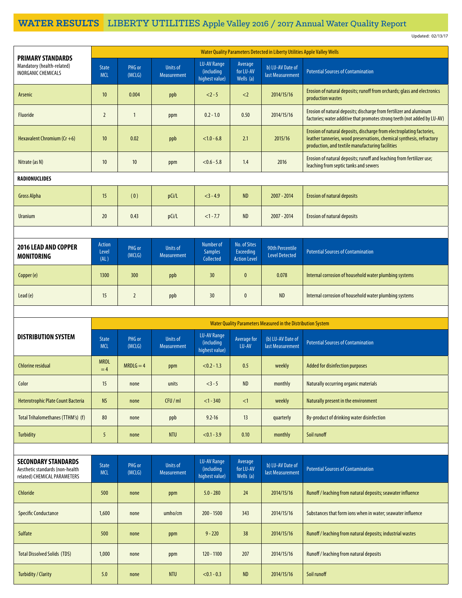# **WATER RESULTS** LIBERTY UTILITIES Apple Valley 2016 / 2017 Annual Water Quality Report

Updated: 02/13/17

| <b>PRIMARY STANDARDS</b>                                                                      | Water Quality Parameters Detected in Liberty Utilities Apple Valley Wells |                  |                                |                                                    |                                                  |                                                              |                                                                                                                                                                                                    |  |
|-----------------------------------------------------------------------------------------------|---------------------------------------------------------------------------|------------------|--------------------------------|----------------------------------------------------|--------------------------------------------------|--------------------------------------------------------------|----------------------------------------------------------------------------------------------------------------------------------------------------------------------------------------------------|--|
| Mandatory (health-related)<br><b>INORGANIC CHEMICALS</b>                                      | <b>State</b><br><b>MCL</b>                                                | PHG or<br>(MCLG) | <b>Units of</b><br>Measurement | LU-AV Range<br>(including<br>highest value)        | Average<br>for LU-AV<br>Wells (a)                | b) LU-AV Date of<br>last Measurement                         | <b>Potential Sources of Contamination</b>                                                                                                                                                          |  |
| Arsenic                                                                                       | 10                                                                        | 0.004            | ppb                            | $2 - 5$                                            | $<$ 2                                            | 2014/15/16                                                   | Erosion of natural deposits; runoff from orchards; glass and electronics<br>production wastes                                                                                                      |  |
| <b>Fluoride</b>                                                                               | $\overline{2}$                                                            | $\mathbf{1}$     | ppm                            | $0.2 - 1.0$                                        | 0.50                                             | 2014/15/16                                                   | Erosion of natural deposits; discharge from fertilizer and aluminum<br>factories; water additive that promotes strong teeth (not added by LU-AV)                                                   |  |
| Hexavalent Chromium ( $Cr + 6$ )                                                              | 10                                                                        | 0.02             | ppb                            | $< 1.0 - 6.8$                                      | 2.1                                              | 2015/16                                                      | Erosion of natural deposits, discharge from electroplating factories,<br>leather tanneries, wood preservations, chemical synthesis, refractory<br>production, and textile manufacturing facilities |  |
| Nitrate (as N)                                                                                | 10                                                                        | 10               | ppm                            | $< 0.6 - 5.8$                                      | 1.4                                              | 2016                                                         | Erosion of natural deposits; runoff and leaching from fertilizer use;<br>leaching from septic tanks and sewers                                                                                     |  |
| <b>RADIONUCLIDES</b>                                                                          |                                                                           |                  |                                |                                                    |                                                  |                                                              |                                                                                                                                                                                                    |  |
| <b>Gross Alpha</b>                                                                            | 15                                                                        | (0)              | pCi/L                          | $<$ 3 - 4.9                                        | <b>ND</b>                                        | 2007 - 2014                                                  | <b>Erosion of natural deposits</b>                                                                                                                                                                 |  |
| Uranium                                                                                       | 20                                                                        | 0.43             | pCi/L                          | $<1 - 7.7$                                         | <b>ND</b>                                        | $2007 - 2014$                                                | <b>Erosion of natural deposits</b>                                                                                                                                                                 |  |
|                                                                                               |                                                                           |                  |                                |                                                    |                                                  |                                                              |                                                                                                                                                                                                    |  |
| 2016 LEAD AND COPPER<br><b>MONITORING</b>                                                     | <b>Action</b><br>Level<br>(AL)                                            | PHG or<br>(MCLG) | <b>Units of</b><br>Measurement | <b>Number</b> of<br><b>Samples</b><br>Collected    | No. of Sites<br>Exceeding<br><b>Action Level</b> | 90th Percentile<br><b>Level Detected</b>                     | <b>Potential Sources of Contamination</b>                                                                                                                                                          |  |
| Copper (e)                                                                                    | 1300                                                                      | 300              | ppb                            | 30 <sup>°</sup>                                    | 0                                                | 0.078                                                        | Internal corrosion of household water plumbing systems                                                                                                                                             |  |
| Lead (e)                                                                                      | 15                                                                        | $\overline{2}$   | ppb                            | 30 <sup>°</sup>                                    | 0                                                | <b>ND</b>                                                    | Internal corrosion of household water plumbing systems                                                                                                                                             |  |
|                                                                                               |                                                                           |                  |                                |                                                    |                                                  |                                                              |                                                                                                                                                                                                    |  |
|                                                                                               |                                                                           |                  |                                |                                                    |                                                  |                                                              |                                                                                                                                                                                                    |  |
|                                                                                               |                                                                           |                  |                                |                                                    |                                                  | Water Quality Parameters Measured in the Distribution System |                                                                                                                                                                                                    |  |
| <b>DISTRIBUTION SYSTEM</b>                                                                    | <b>State</b><br><b>MCL</b>                                                | PHG or<br>(MCLG) | <b>Units of</b><br>Measurement | <b>LU-AV Range</b><br>(including<br>highest value) | Average for<br>LU-AV                             | (b) LU-AV Date of<br>last Measurement                        | <b>Potential Sources of Contamination</b>                                                                                                                                                          |  |
| <b>Chlorine residual</b>                                                                      | <b>MRDL</b><br>$=4$                                                       | $MRDLG = 4$      | ppm                            | $< 0.2 - 1.3$                                      | 0.5                                              | weekly                                                       | Added for disinfection purposes                                                                                                                                                                    |  |
| Color                                                                                         | 15                                                                        | none             | units                          | $<3-5$                                             | $\sf ND$                                         | monthly                                                      | Naturally occurring organic materials                                                                                                                                                              |  |
| Heterotrophic Plate Count Bacteria                                                            | <b>NS</b>                                                                 | none             | CFU/ml                         | $<1 - 340$                                         | <1                                               | weekly                                                       | Naturally present in the environment                                                                                                                                                               |  |
| Total Trihalomethanes (TTHM's) (f)                                                            | $80\,$                                                                    | none             | ppb                            | $9.2 - 16$                                         | 13                                               | quarterly                                                    | By-product of drinking water disinfection                                                                                                                                                          |  |
| Turbidity                                                                                     | 5                                                                         | none             | <b>NTU</b>                     | $< 0.1 - 3.9$                                      | 0.10                                             | monthly                                                      | Soil runoff                                                                                                                                                                                        |  |
|                                                                                               |                                                                           |                  |                                |                                                    |                                                  |                                                              |                                                                                                                                                                                                    |  |
| <b>SECONDARY STANDARDS</b><br>Aesthetic standards (non-health<br>related) CHEMICAL PARAMETERS | State<br><b>MCL</b>                                                       | PHG or<br>(MCLG) | Units of<br><b>Measurement</b> | LU-AV Range<br>(including<br>highest value)        | Average<br>for LU-AV<br>Wells (a)                | b) LU-AV Date of<br>last Measurement                         | <b>Potential Sources of Contamination</b>                                                                                                                                                          |  |
| Chloride                                                                                      | 500                                                                       | none             | ppm                            | $5.0 - 280$                                        | 24                                               | 2014/15/16                                                   | Runoff / leaching from natural deposits; seawater influence                                                                                                                                        |  |
| <b>Specific Conductance</b>                                                                   | 1,600                                                                     | none             | umho/cm                        | $200 - 1500$                                       | 343                                              | 2014/15/16                                                   | Substances that form ions when in water; seawater influence                                                                                                                                        |  |
| Sulfate                                                                                       | 500                                                                       | none             | ppm                            | $9 - 220$                                          | 38                                               | 2014/15/16                                                   | Runoff / leaching from natural deposits; industrial wastes                                                                                                                                         |  |
| <b>Total Dissolved Solids (TDS)</b>                                                           | 1,000                                                                     | none             | ppm                            | 120 - 1100                                         | 207                                              | 2014/15/16                                                   | Runoff / leaching from natural deposits                                                                                                                                                            |  |